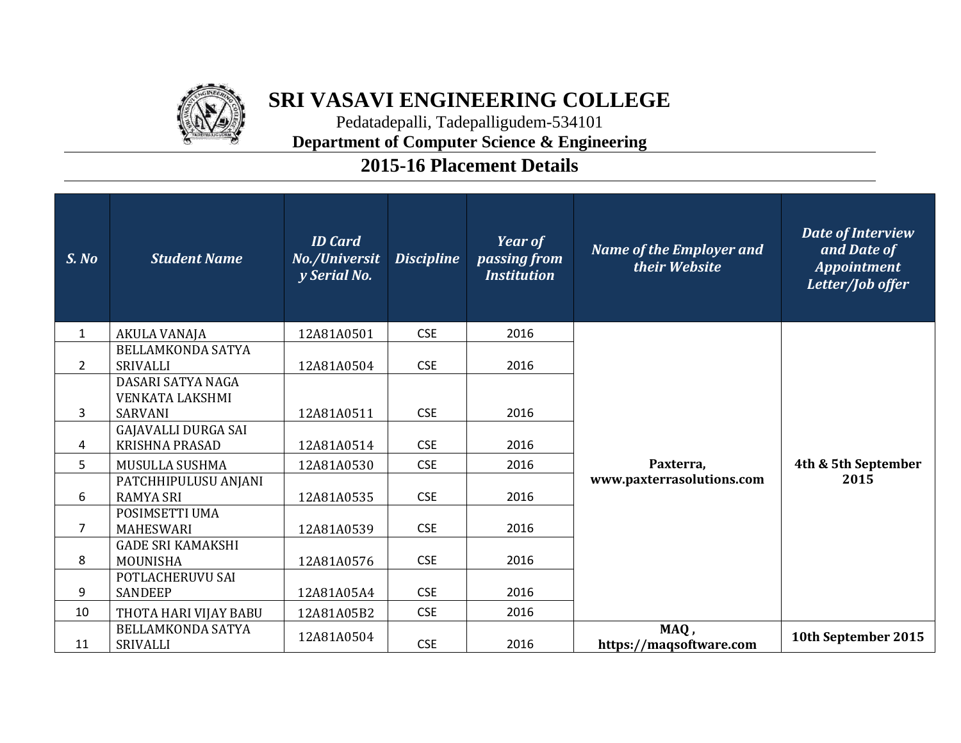

## **SRI VASAVI ENGINEERING COLLEGE**

Pedatadepalli, Tadepalligudem-534101 **Department of Computer Science & Engineering**

## **2015-16 Placement Details**

| S. No          | <b>Student Name</b>                                           | <b>ID</b> Card<br>No./Universit<br>y Serial No. | <b>Discipline</b> | <b>Year of</b><br>passing from<br><b>Institution</b> | <b>Name of the Employer and</b><br>their Website | Date of Interview<br>and Date of<br><b>Appointment</b><br>Letter/Job offer |
|----------------|---------------------------------------------------------------|-------------------------------------------------|-------------------|------------------------------------------------------|--------------------------------------------------|----------------------------------------------------------------------------|
| $\mathbf{1}$   | AKULA VANAJA                                                  | 12A81A0501                                      | <b>CSE</b>        | 2016                                                 |                                                  |                                                                            |
| $\overline{2}$ | <b>BELLAMKONDA SATYA</b><br><b>SRIVALLI</b>                   | 12A81A0504                                      | <b>CSE</b>        | 2016                                                 | Paxterra,<br>www.paxterrasolutions.com           | 4th & 5th September<br>2015                                                |
| 3              | DASARI SATYA NAGA<br><b>VENKATA LAKSHMI</b><br><b>SARVANI</b> | 12A81A0511                                      | <b>CSE</b>        | 2016                                                 |                                                  |                                                                            |
| 4              | <b>GAJAVALLI DURGA SAI</b><br><b>KRISHNA PRASAD</b>           | 12A81A0514                                      | <b>CSE</b>        | 2016                                                 |                                                  |                                                                            |
| 5 <sup>1</sup> | MUSULLA SUSHMA                                                | 12A81A0530                                      | <b>CSE</b>        | 2016                                                 |                                                  |                                                                            |
| 6              | PATCHHIPULUSU ANJANI<br><b>RAMYA SRI</b>                      | 12A81A0535                                      | <b>CSE</b>        | 2016                                                 |                                                  |                                                                            |
| $\overline{7}$ | POSIMSETTI UMA<br><b>MAHESWARI</b>                            | 12A81A0539                                      | <b>CSE</b>        | 2016                                                 |                                                  |                                                                            |
| 8              | <b>GADE SRI KAMAKSHI</b><br>MOUNISHA                          | 12A81A0576                                      | <b>CSE</b>        | 2016                                                 |                                                  |                                                                            |
| 9              | POTLACHERUVU SAI<br><b>SANDEEP</b>                            | 12A81A05A4                                      | <b>CSE</b>        | 2016                                                 |                                                  |                                                                            |
| 10             | THOTA HARI VIJAY BABU                                         | 12A81A05B2                                      | <b>CSE</b>        | 2016                                                 |                                                  |                                                                            |
| 11             | <b>BELLAMKONDA SATYA</b><br><b>SRIVALLI</b>                   | 12A81A0504                                      | <b>CSE</b>        | 2016                                                 | MAQ,<br>https://maqsoftware.com                  | 10th September 2015                                                        |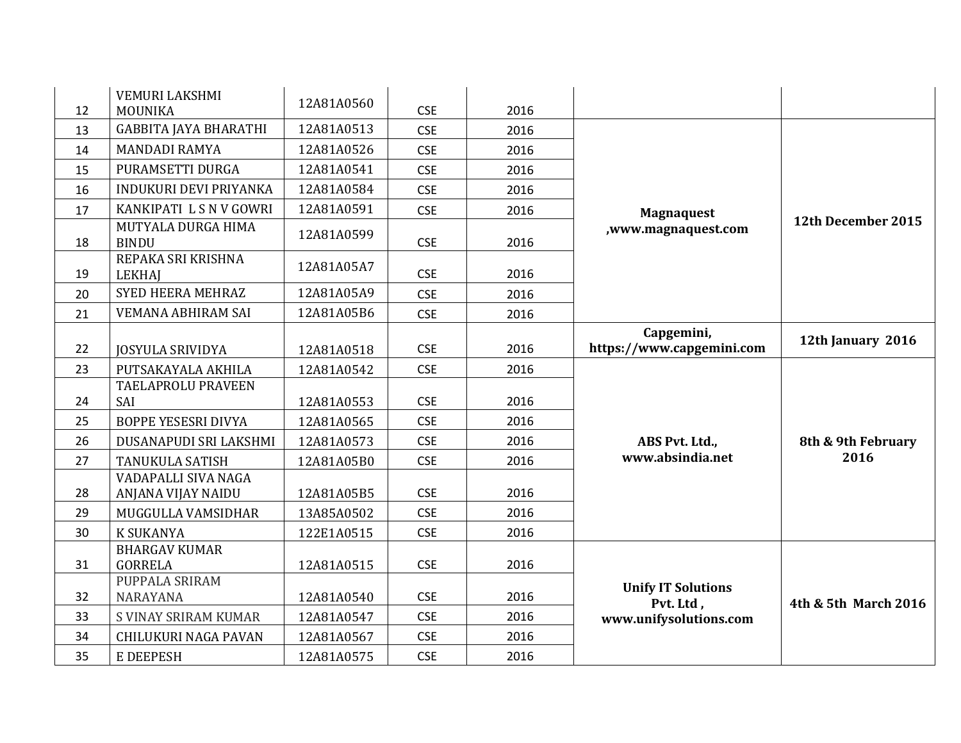| 12 | <b>VEMURI LAKSHMI</b><br>MOUNIKA          | 12A81A0560 | <b>CSE</b> | 2016 |                                         |                      |
|----|-------------------------------------------|------------|------------|------|-----------------------------------------|----------------------|
| 13 | <b>GABBITA JAYA BHARATHI</b>              | 12A81A0513 | <b>CSE</b> | 2016 |                                         |                      |
| 14 | <b>MANDADI RAMYA</b>                      | 12A81A0526 | <b>CSE</b> | 2016 |                                         |                      |
| 15 | PURAMSETTI DURGA                          | 12A81A0541 | <b>CSE</b> | 2016 |                                         |                      |
| 16 | INDUKURI DEVI PRIYANKA                    | 12A81A0584 | <b>CSE</b> | 2016 |                                         |                      |
| 17 | KANKIPATI L S N V GOWRI                   | 12A81A0591 | <b>CSE</b> | 2016 | <b>Magnaquest</b>                       |                      |
| 18 | MUTYALA DURGA HIMA<br><b>BINDU</b>        | 12A81A0599 | <b>CSE</b> | 2016 | ,www.magnaquest.com                     | 12th December 2015   |
| 19 | REPAKA SRI KRISHNA<br><b>LEKHAJ</b>       | 12A81A05A7 | <b>CSE</b> | 2016 |                                         |                      |
| 20 | <b>SYED HEERA MEHRAZ</b>                  | 12A81A05A9 | <b>CSE</b> | 2016 |                                         |                      |
| 21 | VEMANA ABHIRAM SAI                        | 12A81A05B6 | <b>CSE</b> | 2016 |                                         |                      |
| 22 | <b>JOSYULA SRIVIDYA</b>                   | 12A81A0518 | <b>CSE</b> | 2016 | Capgemini,<br>https://www.capgemini.com | 12th January 2016    |
| 23 | PUTSAKAYALA AKHILA                        | 12A81A0542 | <b>CSE</b> | 2016 |                                         |                      |
| 24 | TAELAPROLU PRAVEEN<br>SAI                 | 12A81A0553 | <b>CSE</b> | 2016 |                                         |                      |
| 25 | <b>BOPPE YESESRI DIVYA</b>                | 12A81A0565 | <b>CSE</b> | 2016 |                                         |                      |
| 26 | DUSANAPUDI SRI LAKSHMI                    | 12A81A0573 | <b>CSE</b> | 2016 | ABS Pvt. Ltd.,                          | 8th & 9th February   |
| 27 | <b>TANUKULA SATISH</b>                    | 12A81A05B0 | <b>CSE</b> | 2016 | www.absindia.net                        | 2016                 |
| 28 | VADAPALLI SIVA NAGA<br>ANJANA VIJAY NAIDU | 12A81A05B5 | <b>CSE</b> | 2016 |                                         |                      |
| 29 | MUGGULLA VAMSIDHAR                        | 13A85A0502 | <b>CSE</b> | 2016 |                                         |                      |
| 30 | <b>K SUKANYA</b>                          | 122E1A0515 | <b>CSE</b> | 2016 |                                         |                      |
| 31 | <b>BHARGAV KUMAR</b><br><b>GORRELA</b>    | 12A81A0515 | <b>CSE</b> | 2016 |                                         |                      |
| 32 | PUPPALA SRIRAM<br>NARAYANA                | 12A81A0540 | <b>CSE</b> | 2016 | <b>Unify IT Solutions</b><br>Pvt. Ltd,  | 4th & 5th March 2016 |
| 33 | S VINAY SRIRAM KUMAR                      | 12A81A0547 | <b>CSE</b> | 2016 | www.unifysolutions.com                  |                      |
| 34 | <b>CHILUKURI NAGA PAVAN</b>               | 12A81A0567 | <b>CSE</b> | 2016 |                                         |                      |
| 35 | E DEEPESH                                 | 12A81A0575 | <b>CSE</b> | 2016 |                                         |                      |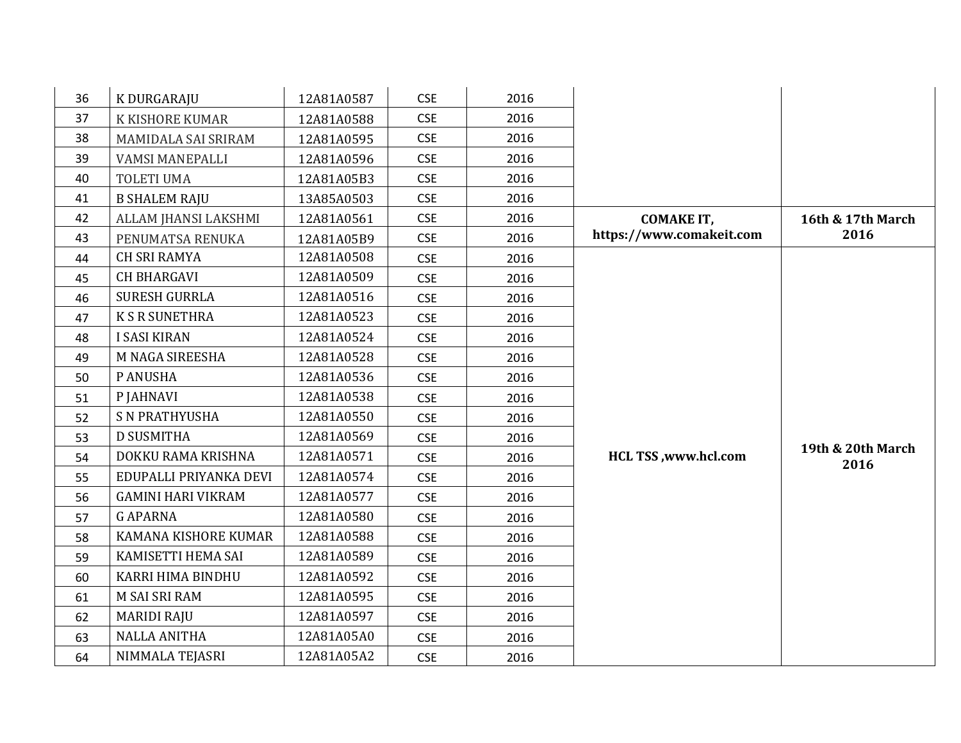| 36 | K DURGARAJU               | 12A81A0587 | <b>CSE</b> | 2016 |                             |                           |
|----|---------------------------|------------|------------|------|-----------------------------|---------------------------|
| 37 | K KISHORE KUMAR           | 12A81A0588 | <b>CSE</b> | 2016 |                             |                           |
| 38 | MAMIDALA SAI SRIRAM       | 12A81A0595 | <b>CSE</b> | 2016 |                             |                           |
| 39 | <b>VAMSI MANEPALLI</b>    | 12A81A0596 | <b>CSE</b> | 2016 |                             |                           |
| 40 | <b>TOLETI UMA</b>         | 12A81A05B3 | <b>CSE</b> | 2016 |                             |                           |
| 41 | <b>B SHALEM RAJU</b>      | 13A85A0503 | <b>CSE</b> | 2016 |                             |                           |
| 42 | ALLAM JHANSI LAKSHMI      | 12A81A0561 | <b>CSE</b> | 2016 | <b>COMAKE IT,</b>           | 16th & 17th March         |
| 43 | PENUMATSA RENUKA          | 12A81A05B9 | <b>CSE</b> | 2016 | https://www.comakeit.com    | 2016                      |
| 44 | <b>CH SRI RAMYA</b>       | 12A81A0508 | <b>CSE</b> | 2016 |                             |                           |
| 45 | <b>CH BHARGAVI</b>        | 12A81A0509 | <b>CSE</b> | 2016 |                             |                           |
| 46 | <b>SURESH GURRLA</b>      | 12A81A0516 | <b>CSE</b> | 2016 |                             |                           |
| 47 | <b>K S R SUNETHRA</b>     | 12A81A0523 | <b>CSE</b> | 2016 |                             |                           |
| 48 | <b>I SASI KIRAN</b>       | 12A81A0524 | <b>CSE</b> | 2016 |                             |                           |
| 49 | M NAGA SIREESHA           | 12A81A0528 | <b>CSE</b> | 2016 |                             |                           |
| 50 | P ANUSHA                  | 12A81A0536 | <b>CSE</b> | 2016 |                             |                           |
| 51 | P JAHNAVI                 | 12A81A0538 | <b>CSE</b> | 2016 |                             |                           |
| 52 | <b>S N PRATHYUSHA</b>     | 12A81A0550 | <b>CSE</b> | 2016 |                             |                           |
| 53 | <b>D SUSMITHA</b>         | 12A81A0569 | <b>CSE</b> | 2016 |                             |                           |
| 54 | DOKKU RAMA KRISHNA        | 12A81A0571 | <b>CSE</b> | 2016 | <b>HCL TSS, www.hcl.com</b> | 19th & 20th March<br>2016 |
| 55 | EDUPALLI PRIYANKA DEVI    | 12A81A0574 | <b>CSE</b> | 2016 |                             |                           |
| 56 | <b>GAMINI HARI VIKRAM</b> | 12A81A0577 | <b>CSE</b> | 2016 |                             |                           |
| 57 | <b>GAPARNA</b>            | 12A81A0580 | <b>CSE</b> | 2016 |                             |                           |
| 58 | KAMANA KISHORE KUMAR      | 12A81A0588 | <b>CSE</b> | 2016 |                             |                           |
| 59 | KAMISETTI HEMA SAI        | 12A81A0589 | <b>CSE</b> | 2016 |                             |                           |
| 60 | KARRI HIMA BINDHU         | 12A81A0592 | <b>CSE</b> | 2016 |                             |                           |
| 61 | <b>M SAI SRI RAM</b>      | 12A81A0595 | <b>CSE</b> | 2016 |                             |                           |
| 62 | <b>MARIDI RAJU</b>        | 12A81A0597 | <b>CSE</b> | 2016 |                             |                           |
| 63 | <b>NALLA ANITHA</b>       | 12A81A05A0 | <b>CSE</b> | 2016 |                             |                           |
| 64 | NIMMALA TEJASRI           | 12A81A05A2 | <b>CSE</b> | 2016 |                             |                           |